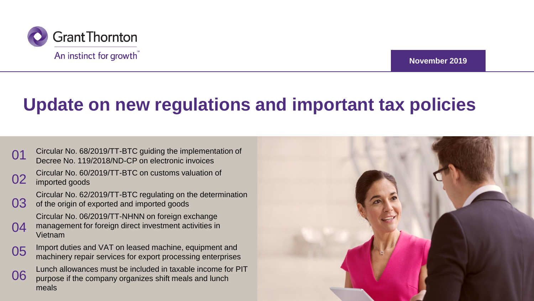

**November 2019**

### **Update on new regulations and important tax policies**

| 01 | Circular No. 68/2019/TT-BTC guiding the implementation of<br>Decree No. 119/2018/ND-CP on electronic invoices                  |  |
|----|--------------------------------------------------------------------------------------------------------------------------------|--|
| 02 | Circular No. 60/2019/TT-BTC on customs valuation of<br>imported goods                                                          |  |
| 03 | Circular No. 62/2019/TT-BTC regulating on the determination<br>of the origin of exported and imported goods                    |  |
| 04 | Circular No. 06/2019/TT-NHNN on foreign exchange<br>management for foreign direct investment activities in<br>Vietnam          |  |
| 05 | Import duties and VAT on leased machine, equipment and<br>machinery repair services for export processing enterprises          |  |
| 06 | Lunch allowances must be included in taxable income for PIT<br>purpose if the company organizes shift meals and lunch<br>meals |  |
|    |                                                                                                                                |  |

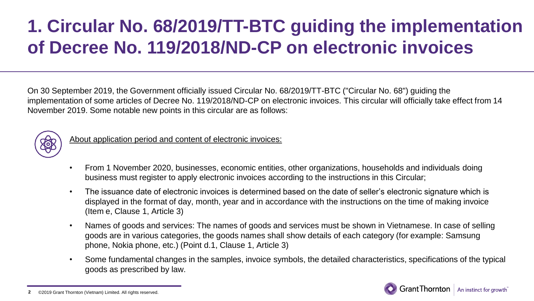## **1. Circular No. 68/2019/TT-BTC guiding the implementation of Decree No. 119/2018/ND-CP on electronic invoices**

On 30 September 2019, the Government officially issued Circular No. 68/2019/TT-BTC ("Circular No. 68") guiding the implementation of some articles of Decree No. 119/2018/ND-CP on electronic invoices. This circular will officially take effect from 14 November 2019. Some notable new points in this circular are as follows:



– About application period and content of electronic invoices:

- From 1 November 2020, businesses, economic entities, other organizations, households and individuals doing business must register to apply electronic invoices according to the instructions in this Circular;
- The issuance date of electronic invoices is determined based on the date of seller's electronic signature which is displayed in the format of day, month, year and in accordance with the instructions on the time of making invoice (Item e, Clause 1, Article 3)
- Names of goods and services: The names of goods and services must be shown in Vietnamese. In case of selling goods are in various categories, the goods names shall show details of each category (for example: Samsung phone, Nokia phone, etc.) (Point d.1, Clause 1, Article 3)
- Some fundamental changes in the samples, invoice symbols, the detailed characteristics, specifications of the typical goods as prescribed by law.

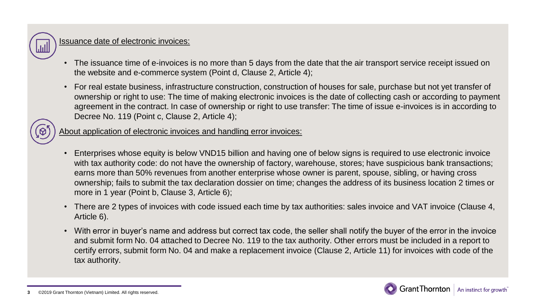

### Issuance date of electronic invoices:

- The issuance time of e-invoices is no more than 5 days from the date that the air transport service receipt issued on the website and e-commerce system (Point d, Clause 2, Article 4);
- For real estate business, infrastructure construction, construction of houses for sale, purchase but not yet transfer of ownership or right to use: The time of making electronic invoices is the date of collecting cash or according to payment agreement in the contract. In case of ownership or right to use transfer: The time of issue e-invoices is in according to Decree No. 119 (Point c, Clause 2, Article 4);



- Enterprises whose equity is below VND15 billion and having one of below signs is required to use electronic invoice with tax authority code: do not have the ownership of factory, warehouse, stores; have suspicious bank transactions; earns more than 50% revenues from another enterprise whose owner is parent, spouse, sibling, or having cross ownership; fails to submit the tax declaration dossier on time; changes the address of its business location 2 times or more in 1 year (Point b, Clause 3, Article 6);
- There are 2 types of invoices with code issued each time by tax authorities: sales invoice and VAT invoice (Clause 4, Article 6).
- With error in buyer's name and address but correct tax code, the seller shall notify the buyer of the error in the invoice and submit form No. 04 attached to Decree No. 119 to the tax authority. Other errors must be included in a report to certify errors, submit form No. 04 and make a replacement invoice (Clause 2, Article 11) for invoices with code of the tax authority.

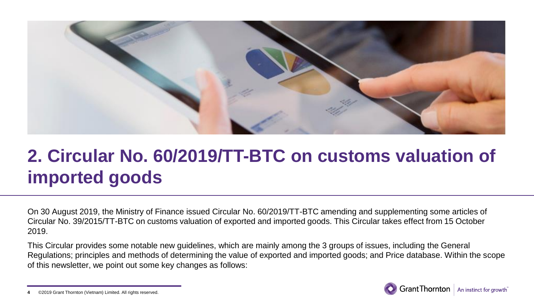

## **2. Circular No. 60/2019/TT-BTC on customs valuation of imported goods**

On 30 August 2019, the Ministry of Finance issued Circular No. 60/2019/TT-BTC amending and supplementing some articles of Circular No. 39/2015/TT-BTC on customs valuation of exported and imported goods. This Circular takes effect from 15 October 2019.

This Circular provides some notable new guidelines, which are mainly among the 3 groups of issues, including the General Regulations; principles and methods of determining the value of exported and imported goods; and Price database. Within the scope of this newsletter, we point out some key changes as follows:



<sup>©2019</sup> Grant Thornton (Vietnam) Limited. All rights reserved. **4**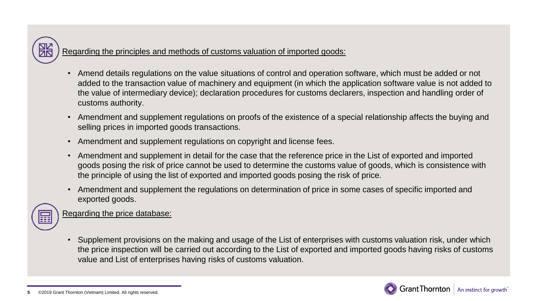Regarding the principles and methods of customs valuation of imported goods:

- Amend details regulations on the value situations of control and operation software, which must be added or not added to the transaction value of machinery and equipment (in which the application software value is not added to the value of intermediary device); declaration procedures for customs declarers, inspection and handling order of customs authority.
- Amendment and supplement regulations on proofs of the existence of a special relationship affects the buying and selling prices in imported goods transactions.
- Amendment and supplement regulations on copyright and license fees.
- Amendment and supplement in detail for the case that the reference price in the List of exported and imported goods posing the risk of price cannot be used to determine the customs value of goods, which is consistence with the principle of using the list of exported and imported goods posing the risk of price.
- Amendment and supplement the regulations on determination of price in some cases of specific imported and exported goods.

Regarding the price database:

• Supplement provisions on the making and usage of the List of enterprises with customs valuation risk, under which the price inspection will be carried out according to the List of exported and imported goods having risks of customs value and List of enterprises having risks of customs valuation.

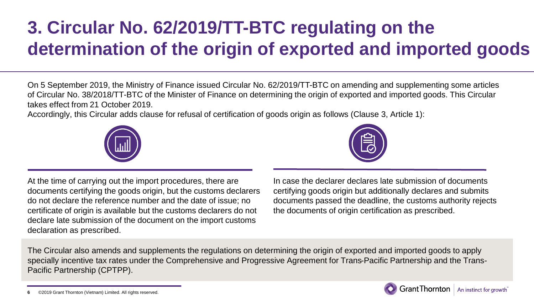# **3. Circular No. 62/2019/TT-BTC regulating on the determination of the origin of exported and imported goods**

On 5 September 2019, the Ministry of Finance issued Circular No. 62/2019/TT-BTC on amending and supplementing some articles of Circular No. 38/2018/TT-BTC of the Minister of Finance on determining the origin of exported and imported goods. This Circular takes effect from 21 October 2019.

Accordingly, this Circular adds clause for refusal of certification of goods origin as follows (Clause 3, Article 1):





At the time of carrying out the import procedures, there are documents certifying the goods origin, but the customs declarers do not declare the reference number and the date of issue; no certificate of origin is available but the customs declarers do not declare late submission of the document on the import customs declaration as prescribed.

In case the declarer declares late submission of documents certifying goods origin but additionally declares and submits documents passed the deadline, the customs authority rejects the documents of origin certification as prescribed.

The Circular also amends and supplements the regulations on determining the origin of exported and imported goods to apply specially incentive tax rates under the Comprehensive and Progressive Agreement for Trans-Pacific Partnership and the Trans-Pacific Partnership (CPTPP).

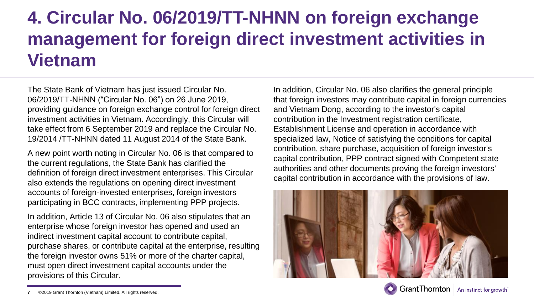### **4. Circular No. 06/2019/TT-NHNN on foreign exchange management for foreign direct investment activities in Vietnam**

The State Bank of Vietnam has just issued Circular No. 06/2019/TT-NHNN ("Circular No. 06") on 26 June 2019, providing guidance on foreign exchange control for foreign direct investment activities in Vietnam. Accordingly, this Circular will take effect from 6 September 2019 and replace the Circular No. 19/2014 /TT-NHNN dated 11 August 2014 of the State Bank.

A new point worth noting in Circular No. 06 is that compared to the current regulations, the State Bank has clarified the definition of foreign direct investment enterprises. This Circular also extends the regulations on opening direct investment accounts of foreign-invested enterprises, foreign investors participating in BCC contracts, implementing PPP projects.

In addition, Article 13 of Circular No. 06 also stipulates that an enterprise whose foreign investor has opened and used an indirect investment capital account to contribute capital, purchase shares, or contribute capital at the enterprise, resulting the foreign investor owns 51% or more of the charter capital, must open direct investment capital accounts under the provisions of this Circular.

In addition, Circular No. 06 also clarifies the general principle that foreign investors may contribute capital in foreign currencies and Vietnam Dong, according to the investor's capital contribution in the Investment registration certificate, Establishment License and operation in accordance with specialized law, Notice of satisfying the conditions for capital contribution, share purchase, acquisition of foreign investor's capital contribution, PPP contract signed with Competent state authorities and other documents proving the foreign investors' capital contribution in accordance with the provisions of law.



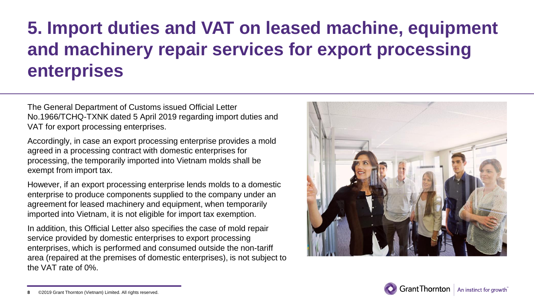## **5. Import duties and VAT on leased machine, equipment and machinery repair services for export processing enterprises**

The General Department of Customs issued Official Letter No.1966/TCHQ-TXNK dated 5 April 2019 regarding import duties and VAT for export processing enterprises.

Accordingly, in case an export processing enterprise provides a mold agreed in a processing contract with domestic enterprises for processing, the temporarily imported into Vietnam molds shall be exempt from import tax.

However, if an export processing enterprise lends molds to a domestic enterprise to produce components supplied to the company under an agreement for leased machinery and equipment, when temporarily imported into Vietnam, it is not eligible for import tax exemption.

In addition, this Official Letter also specifies the case of mold repair service provided by domestic enterprises to export processing enterprises, which is performed and consumed outside the non-tariff area (repaired at the premises of domestic enterprises), is not subject to the VAT rate of 0%.





<sup>©2019</sup> Grant Thornton (Vietnam) Limited. All rights reserved. **8**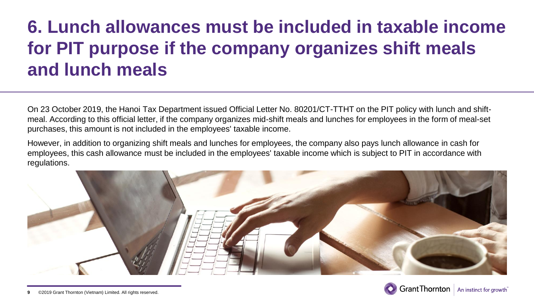## **6. Lunch allowances must be included in taxable income for PIT purpose if the company organizes shift meals and lunch meals**

On 23 October 2019, the Hanoi Tax Department issued Official Letter No. 80201/CT-TTHT on the PIT policy with lunch and shiftmeal. According to this official letter, if the company organizes mid-shift meals and lunches for employees in the form of meal-set purchases, this amount is not included in the employees' taxable income.

However, in addition to organizing shift meals and lunches for employees, the company also pays lunch allowance in cash for employees, this cash allowance must be included in the employees' taxable income which is subject to PIT in accordance with regulations.